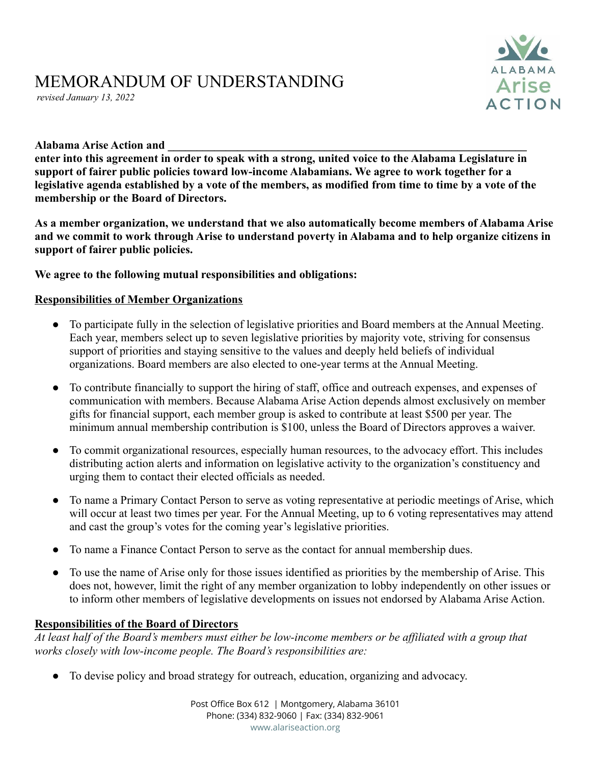# MEMORANDUM OF UNDERSTANDING

*revised January 13, 2022*



#### **Alabama Arise Action and \_\_\_\_\_\_\_\_\_\_\_\_\_\_\_\_\_\_\_\_\_\_\_\_\_\_\_\_\_\_\_\_\_\_\_\_\_\_\_\_\_\_\_\_\_\_\_\_\_\_\_\_\_\_\_\_\_\_\_\_\_\_**

**enter into this agreement in order to speak with a strong, united voice to the Alabama Legislature in support of fairer public policies toward low-income Alabamians. We agree to work together for a legislative agenda established by a vote of the members, as modified from time to time by a vote of the membership or the Board of Directors.**

**As a member organization, we understand that we also automatically become members of Alabama Arise and we commit to work through Arise to understand poverty in Alabama and to help organize citizens in support of fairer public policies.**

#### **We agree to the following mutual responsibilities and obligations:**

#### **Responsibilities of Member Organizations**

- To participate fully in the selection of legislative priorities and Board members at the Annual Meeting. Each year, members select up to seven legislative priorities by majority vote, striving for consensus support of priorities and staying sensitive to the values and deeply held beliefs of individual organizations. Board members are also elected to one-year terms at the Annual Meeting.
- To contribute financially to support the hiring of staff, office and outreach expenses, and expenses of communication with members. Because Alabama Arise Action depends almost exclusively on member gifts for financial support, each member group is asked to contribute at least \$500 per year. The minimum annual membership contribution is \$100, unless the Board of Directors approves a waiver.
- To commit organizational resources, especially human resources, to the advocacy effort. This includes distributing action alerts and information on legislative activity to the organization's constituency and urging them to contact their elected officials as needed.
- To name a Primary Contact Person to serve as voting representative at periodic meetings of Arise, which will occur at least two times per year. For the Annual Meeting, up to 6 voting representatives may attend and cast the group's votes for the coming year's legislative priorities.
- To name a Finance Contact Person to serve as the contact for annual membership dues.
- To use the name of Arise only for those issues identified as priorities by the membership of Arise. This does not, however, limit the right of any member organization to lobby independently on other issues or to inform other members of legislative developments on issues not endorsed by Alabama Arise Action.

#### **Responsibilities of the Board of Directors**

*At least half of the Board's members must either be low-income members or be affiliated with a group that works closely with low-income people. The Board's responsibilities are:*

● To devise policy and broad strategy for outreach, education, organizing and advocacy.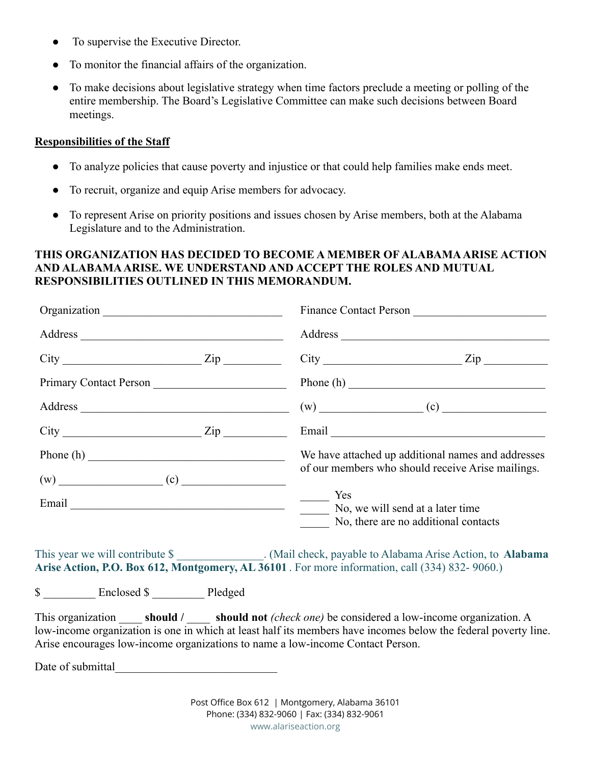- To supervise the Executive Director.
- To monitor the financial affairs of the organization.
- To make decisions about legislative strategy when time factors preclude a meeting or polling of the entire membership. The Board's Legislative Committee can make such decisions between Board meetings.

### **Responsibilities of the Staff**

- To analyze policies that cause poverty and injustice or that could help families make ends meet.
- To recruit, organize and equip Arise members for advocacy.
- To represent Arise on priority positions and issues chosen by Arise members, both at the Alabama Legislature and to the Administration.

## **THIS ORGANIZATION HAS DECIDED TO BECOME A MEMBER OF ALABAMA ARISE ACTION AND ALABAMA ARISE. WE UNDERSTAND AND ACCEPT THE ROLES AND MUTUAL RESPONSIBILITIES OUTLINED IN THIS MEMORANDUM.**

| $City$ $Zip$                                                                   | $City$ $Zip$                                                                                                                                                                                                                 |
|--------------------------------------------------------------------------------|------------------------------------------------------------------------------------------------------------------------------------------------------------------------------------------------------------------------------|
| Primary Contact Person                                                         |                                                                                                                                                                                                                              |
|                                                                                | $(w)$ (c) (c)                                                                                                                                                                                                                |
| $City$ $Zip$                                                                   |                                                                                                                                                                                                                              |
|                                                                                | We have attached up additional names and addresses                                                                                                                                                                           |
|                                                                                | of our members who should receive Arise mailings.                                                                                                                                                                            |
|                                                                                | Yes                                                                                                                                                                                                                          |
| Email No, we will send at a later time                                         |                                                                                                                                                                                                                              |
|                                                                                | No, there are no additional contacts                                                                                                                                                                                         |
|                                                                                | This year we will contribute \$<br>Arise Action, P.O. Box 612, Montgomery, AL 36101. For more information, call (334) 832-9060.)                                                                                             |
| \$ __________ Enclosed \$ __________ Pledged                                   |                                                                                                                                                                                                                              |
| Arise encourages low-income organizations to name a low-income Contact Person. | This organization <b>Should</b> / <b>Should not</b> (check one) be considered a low-income organization. A<br>low-income organization is one in which at least half its members have incomes below the federal poverty line. |
| Date of submittal                                                              |                                                                                                                                                                                                                              |

Post Office Box 612 | Montgomery, Alabama 36101 Phone: (334) 832-9060 | Fax: (334) 832-9061 www.alariseaction.org